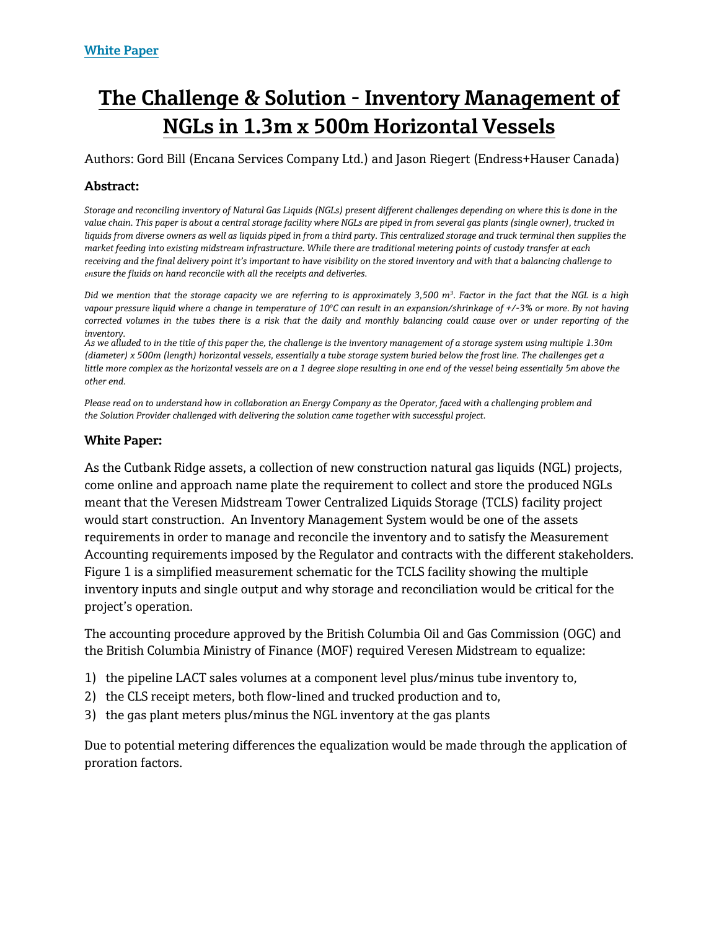# **The Challenge & Solution - Inventory Management of NGLs in 1.3m x 500m Horizontal Vessels**

Authors: Gord Bill (Encana Services Company Ltd.) and Jason Riegert (Endress+Hauser Canada)

## **Abstract:**

*Storage and reconciling inventory of Natural Gas Liquids (NGLs) present different challenges depending on where this is done in the value chain. This paper is about a central storage facility where NGLs are piped in from several gas plants (single owner), trucked in liquids from diverse owners as well as liquids piped in from a third party. This centralized storage and truck terminal then supplies the market feeding into existing midstream infrastructure. While there are traditional metering points of custody transfer at each receiving and the final delivery point it's important to have visibility on the stored inventory and with that a balancing challenge to ensure the fluids on hand reconcile with all the receipts and deliveries.* 

*Did we mention that the storage capacity we are referring to is approximately 3,500 m<sup>3</sup> . Factor in the fact that the NGL is a high vapour pressure liquid where a change in temperature of 10<sup>o</sup>C can result in an expansion/shrinkage of +/-3% or more. By not having corrected volumes in the tubes there is a risk that the daily and monthly balancing could cause over or under reporting of the inventory.* 

*As we alluded to in the title of this paper the, the challenge is the inventory management of a storage system using multiple 1.30m (diameter) x 500m (length) horizontal vessels, essentially a tube storage system buried below the frost line. The challenges get a*  little more complex as the horizontal vessels are on a 1 degree slope resulting in one end of the vessel being essentially 5m above the *other end.* 

*Please read on to understand how in collaboration an Energy Company as the Operator, faced with a challenging problem and the Solution Provider challenged with delivering the solution came together with successful project.* 

#### **White Paper:**

As the Cutbank Ridge assets, a collection of new construction natural gas liquids (NGL) projects, come online and approach name plate the requirement to collect and store the produced NGLs meant that the Veresen Midstream Tower Centralized Liquids Storage (TCLS) facility project would start construction. An Inventory Management System would be one of the assets requirements in order to manage and reconcile the inventory and to satisfy the Measurement Accounting requirements imposed by the Regulator and contracts with the different stakeholders. Figure 1 is a simplified measurement schematic for the TCLS facility showing the multiple inventory inputs and single output and why storage and reconciliation would be critical for the project's operation.

The accounting procedure approved by the British Columbia Oil and Gas Commission (OGC) and the British Columbia Ministry of Finance (MOF) required Veresen Midstream to equalize:

- 1) the pipeline LACT sales volumes at a component level plus/minus tube inventory to,
- 2) the CLS receipt meters, both flow-lined and trucked production and to,
- 3) the gas plant meters plus/minus the NGL inventory at the gas plants

Due to potential metering differences the equalization would be made through the application of proration factors.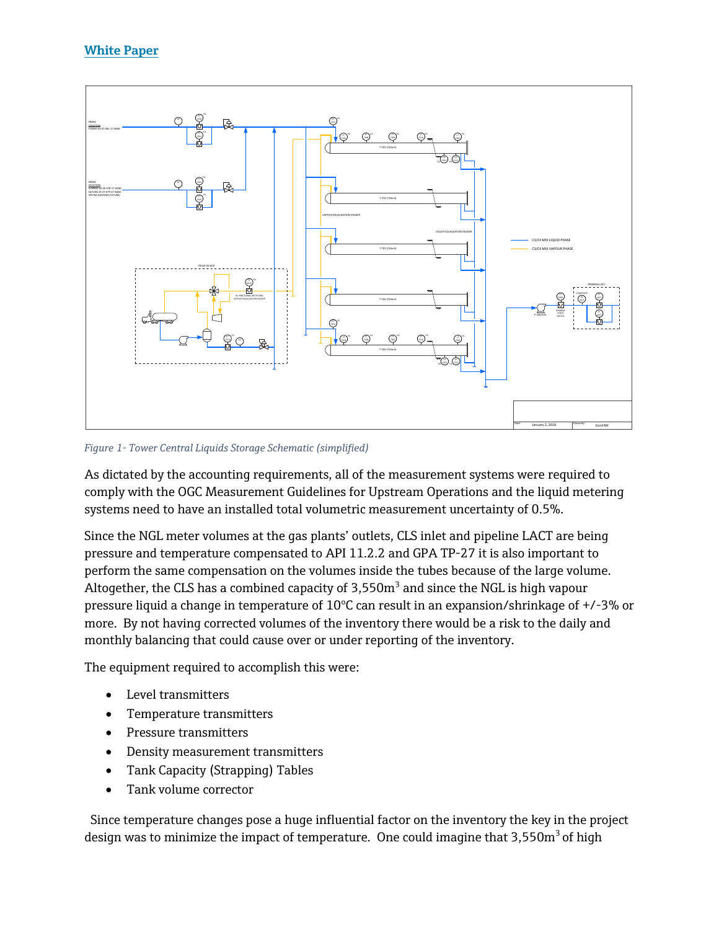

*Figure 1- Tower Central Liquids Storage Schematic (simplified)*

As dictated by the accounting requirements, all of the measurement systems were required to comply with the OGC Measurement Guidelines for Upstream Operations and the liquid metering systems need to have an installed total volumetric measurement uncertainty of 0.5%.

Since the NGL meter volumes at the gas plants' outlets, CLS inlet and pipeline LACT are being pressure and temperature compensated to API 11.2.2 and GPA TP-27 it is also important to perform the same compensation on the volumes inside the tubes because of the large volume. Altogether, the CLS has a combined capacity of  $3,550m^3$  and since the NGL is high vapour pressure liquid a change in temperature of  $10^{\circ}$ C can result in an expansion/shrinkage of +/-3% or more. By not having corrected volumes of the inventory there would be a risk to the daily and monthly balancing that could cause over or under reporting of the inventory.

The equipment required to accomplish this were:

- Level transmitters
- Temperature transmitters
- Pressure transmitters
- Density measurement transmitters
- Tank Capacity (Strapping) Tables
- Tank volume corrector

 Since temperature changes pose a huge influential factor on the inventory the key in the project design was to minimize the impact of temperature. One could imagine that  $3,550m^3$  of high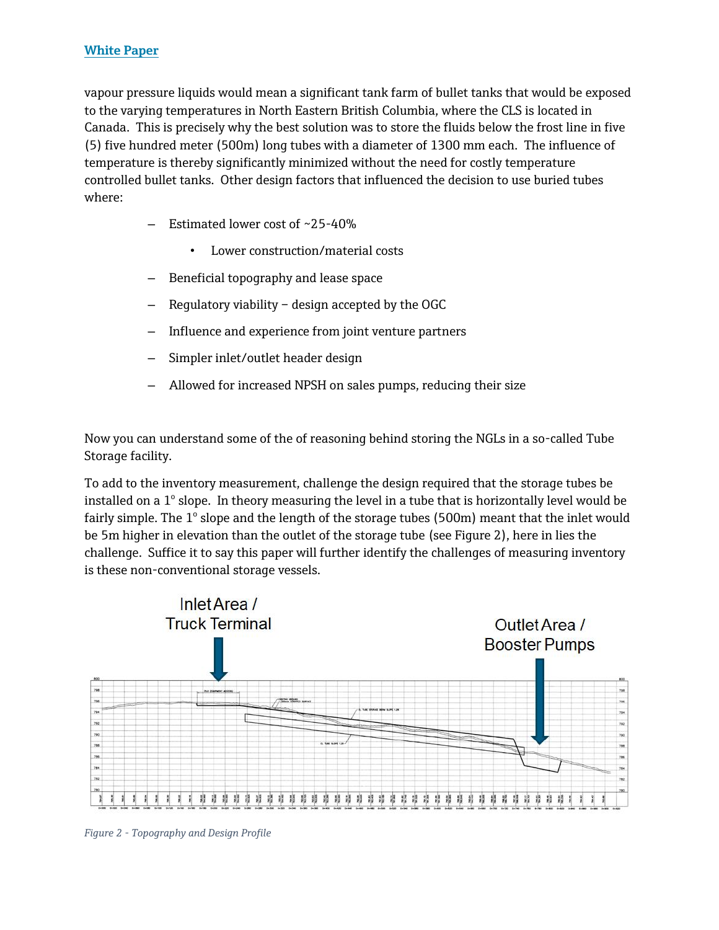vapour pressure liquids would mean a significant tank farm of bullet tanks that would be exposed to the varying temperatures in North Eastern British Columbia, where the CLS is located in Canada. This is precisely why the best solution was to store the fluids below the frost line in five (5) five hundred meter (500m) long tubes with a diameter of 1300 mm each. The influence of temperature is thereby significantly minimized without the need for costly temperature controlled bullet tanks. Other design factors that influenced the decision to use buried tubes where:

- Estimated lower cost of  $\sim$ 25-40%
	- Lower construction/material costs
- Beneficial topography and lease space
- Regulatory viability design accepted by the OGC
- Influence and experience from joint venture partners
- Simpler inlet/outlet header design
- Allowed for increased NPSH on sales pumps, reducing their size

Now you can understand some of the of reasoning behind storing the NGLs in a so-called Tube Storage facility.

To add to the inventory measurement, challenge the design required that the storage tubes be installed on a  $1^{\circ}$  slope. In theory measuring the level in a tube that is horizontally level would be fairly simple. The  $1^{\circ}$  slope and the length of the storage tubes (500m) meant that the inlet would be 5m higher in elevation than the outlet of the storage tube (see Figure 2), here in lies the challenge. Suffice it to say this paper will further identify the challenges of measuring inventory is these non-conventional storage vessels.



*Figure 2 - Topography and Design Profile*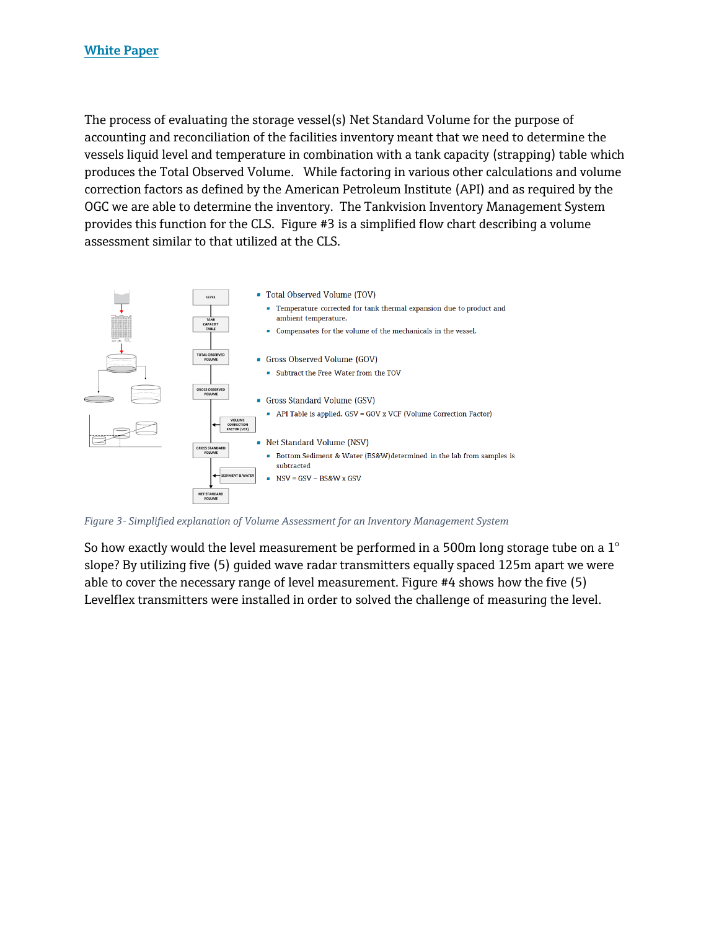The process of evaluating the storage vessel(s) Net Standard Volume for the purpose of accounting and reconciliation of the facilities inventory meant that we need to determine the vessels liquid level and temperature in combination with a tank capacity (strapping) table which produces the Total Observed Volume. While factoring in various other calculations and volume correction factors as defined by the American Petroleum Institute (API) and as required by the OGC we are able to determine the inventory. The Tankvision Inventory Management System provides this function for the CLS. Figure #3 is a simplified flow chart describing a volume assessment similar to that utilized at the CLS.



*Figure 3- Simplified explanation of Volume Assessment for an Inventory Management System*

So how exactly would the level measurement be performed in a 500m long storage tube on a  $1^{\circ}$ slope? By utilizing five (5) guided wave radar transmitters equally spaced 125m apart we were able to cover the necessary range of level measurement. Figure #4 shows how the five (5) Levelflex transmitters were installed in order to solved the challenge of measuring the level.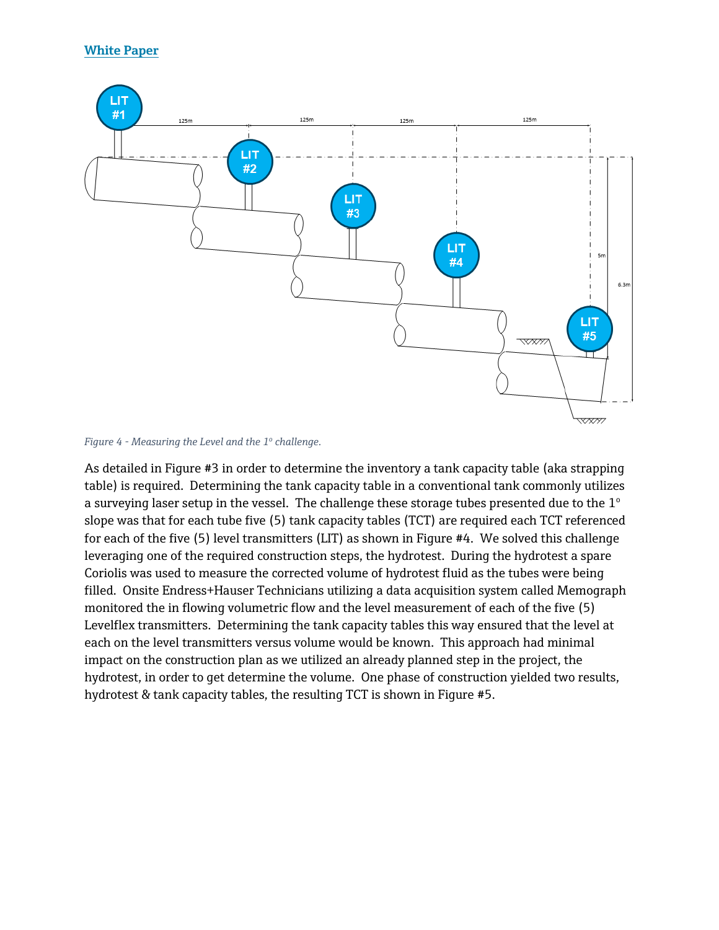

*Figure 4 - Measuring the Level and the 1<sup>o</sup> challenge.*

As detailed in Figure #3 in order to determine the inventory a tank capacity table (aka strapping table) is required. Determining the tank capacity table in a conventional tank commonly utilizes a surveying laser setup in the vessel. The challenge these storage tubes presented due to the  $1^{\circ}$ slope was that for each tube five (5) tank capacity tables (TCT) are required each TCT referenced for each of the five (5) level transmitters (LIT) as shown in Figure #4. We solved this challenge leveraging one of the required construction steps, the hydrotest. During the hydrotest a spare Coriolis was used to measure the corrected volume of hydrotest fluid as the tubes were being filled. Onsite Endress+Hauser Technicians utilizing a data acquisition system called Memograph monitored the in flowing volumetric flow and the level measurement of each of the five (5) Levelflex transmitters. Determining the tank capacity tables this way ensured that the level at each on the level transmitters versus volume would be known. This approach had minimal impact on the construction plan as we utilized an already planned step in the project, the hydrotest, in order to get determine the volume. One phase of construction yielded two results, hydrotest & tank capacity tables, the resulting TCT is shown in Figure #5.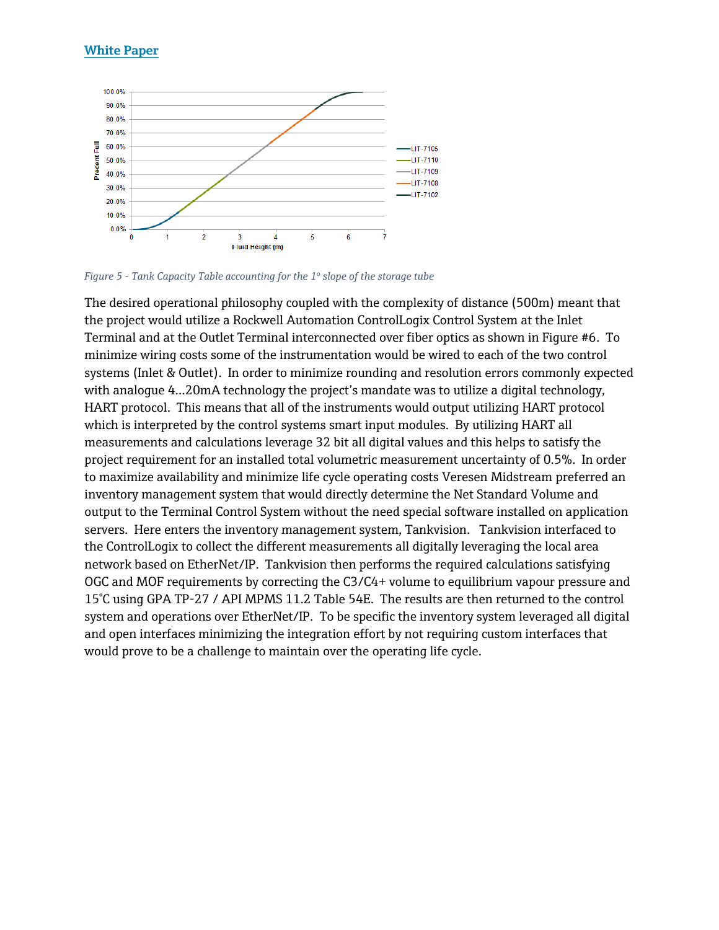### **White Paper**



*Figure 5 - Tank Capacity Table accounting for the 1<sup>o</sup> slope of the storage tube*

The desired operational philosophy coupled with the complexity of distance (500m) meant that the project would utilize a Rockwell Automation ControlLogix Control System at the Inlet Terminal and at the Outlet Terminal interconnected over fiber optics as shown in Figure #6. To minimize wiring costs some of the instrumentation would be wired to each of the two control systems (Inlet & Outlet). In order to minimize rounding and resolution errors commonly expected with analogue 4…20mA technology the project's mandate was to utilize a digital technology, HART protocol. This means that all of the instruments would output utilizing HART protocol which is interpreted by the control systems smart input modules. By utilizing HART all measurements and calculations leverage 32 bit all digital values and this helps to satisfy the project requirement for an installed total volumetric measurement uncertainty of 0.5%. In order to maximize availability and minimize life cycle operating costs Veresen Midstream preferred an inventory management system that would directly determine the Net Standard Volume and output to the Terminal Control System without the need special software installed on application servers. Here enters the inventory management system, Tankvision. Tankvision interfaced to the ControlLogix to collect the different measurements all digitally leveraging the local area network based on EtherNet/IP. Tankvision then performs the required calculations satisfying OGC and MOF requirements by correcting the C3/C4+ volume to equilibrium vapour pressure and 15°C using GPA TP-27 / API MPMS 11.2 Table 54E. The results are then returned to the control system and operations over EtherNet/IP. To be specific the inventory system leveraged all digital and open interfaces minimizing the integration effort by not requiring custom interfaces that would prove to be a challenge to maintain over the operating life cycle.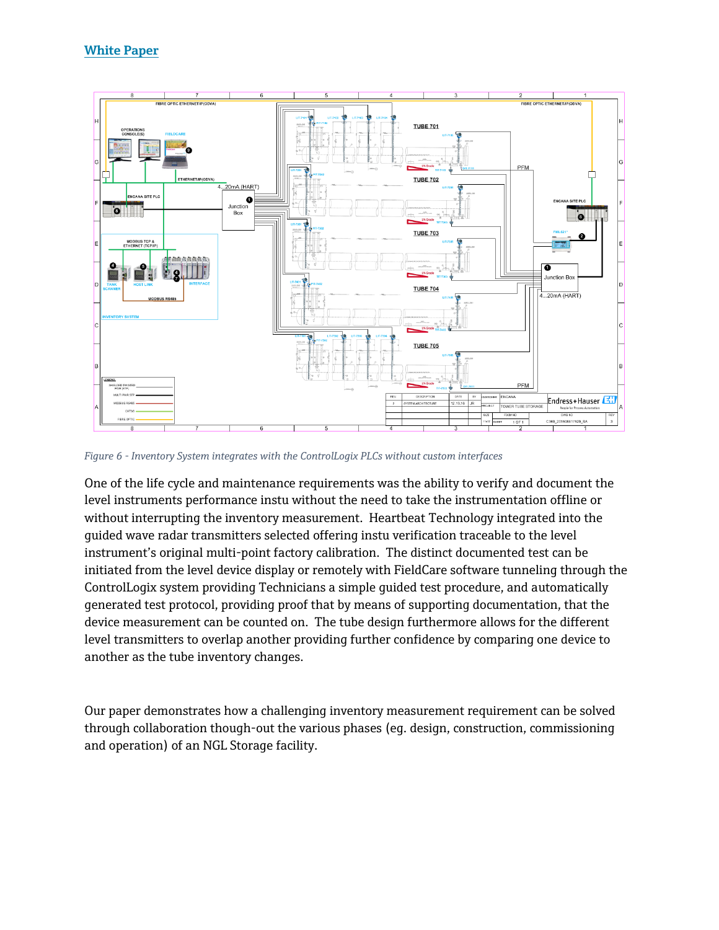

*Figure 6 - Inventory System integrates with the ControlLogix PLCs without custom interfaces*

One of the life cycle and maintenance requirements was the ability to verify and document the level instruments performance instu without the need to take the instrumentation offline or without interrupting the inventory measurement. Heartbeat Technology integrated into the guided wave radar transmitters selected offering instu verification traceable to the level instrument's original multi-point factory calibration. The distinct documented test can be initiated from the level device display or remotely with FieldCare software tunneling through the ControlLogix system providing Technicians a simple guided test procedure, and automatically generated test protocol, providing proof that by means of supporting documentation, that the device measurement can be counted on. The tube design furthermore allows for the different level transmitters to overlap another providing further confidence by comparing one device to another as the tube inventory changes.

Our paper demonstrates how a challenging inventory measurement requirement can be solved through collaboration though-out the various phases (eg. design, construction, commissioning and operation) of an NGL Storage facility.